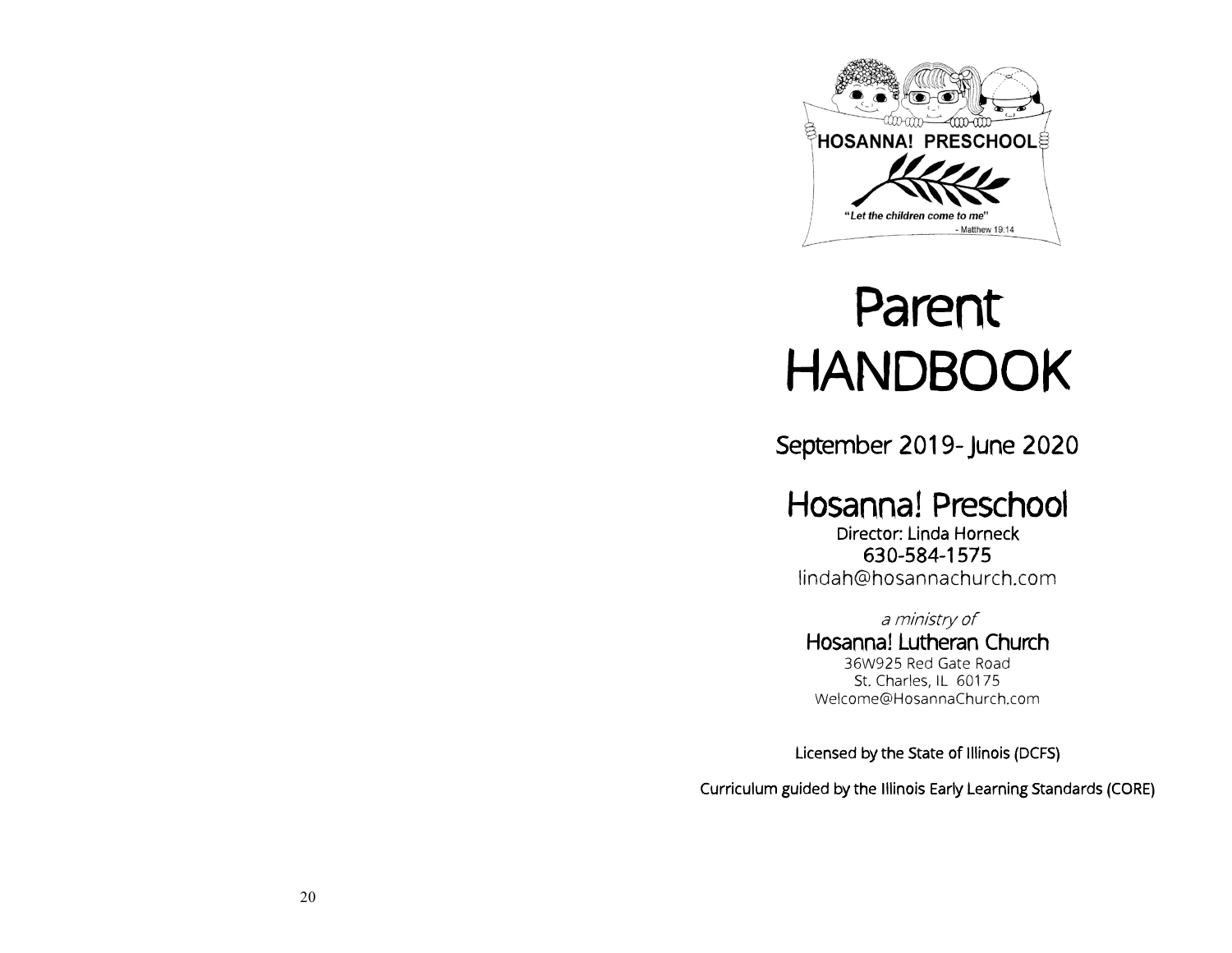

# Parent HANDBOOK

September 2019- June 2020

Hosanna! Preschool Director: Linda Horneck 630-584-1575

lindah@hosannachurch.com

a ministry of Hosanna! Lutheran Church 36W925 Red Gate Road St. Charles, IL 60175 Welcome@HosannaChurch.com

Licensed by the State of Illinois (DCFS)

Curriculum guided by the Illinois Early Learning Standards (CORE)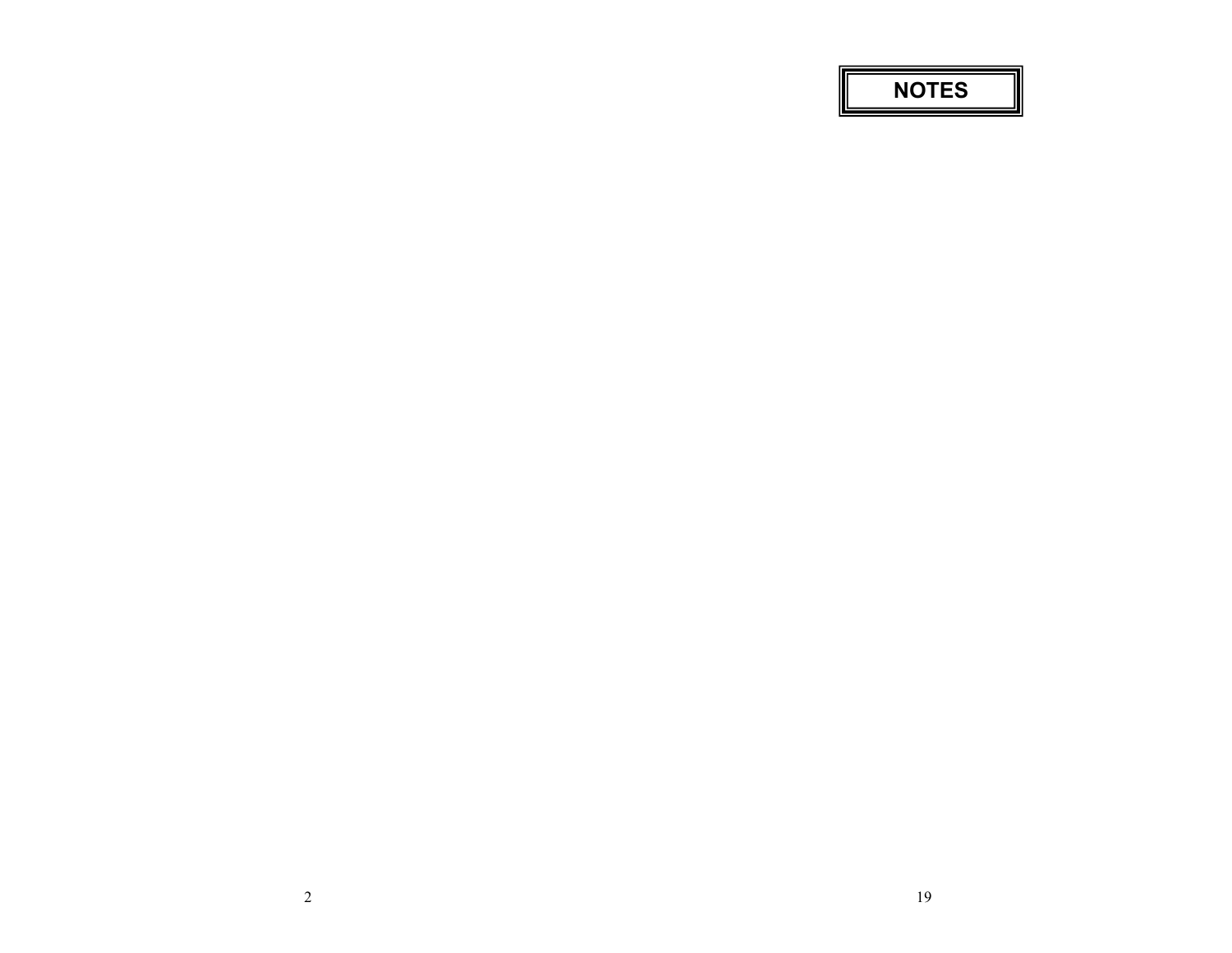**NOTES**

l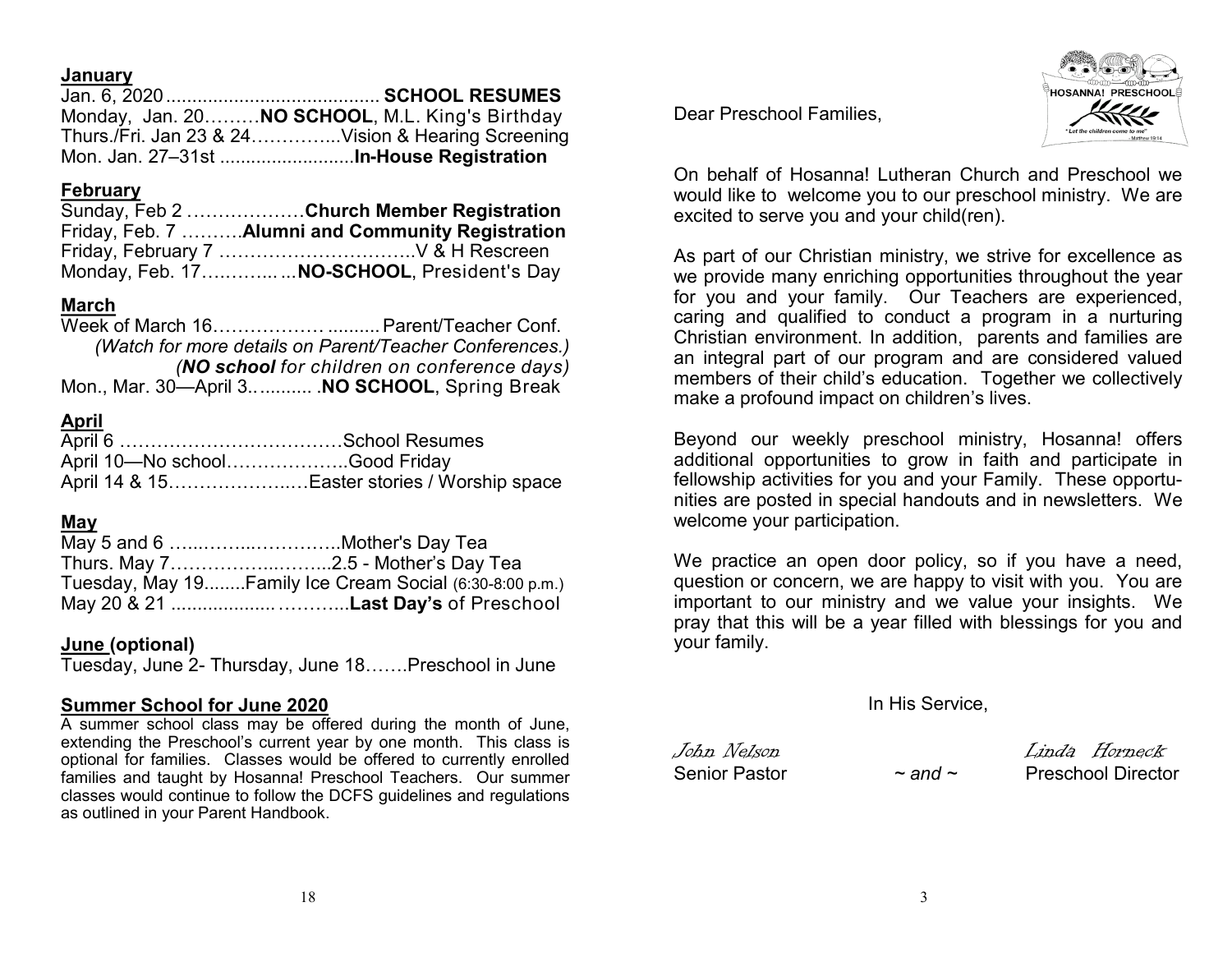**January**

**February**

Week of March 16................................. Parent/Teacher Conf. *(Watch for more details on Parent/Teacher Conferences.) (NO school for children on conference days)* Mon., Mar. 30—April 3............ .**NO SCHOOL**, Spring Break

Jan. 6, 2020......................................... **SCHOOL RESUMES** Monday, Jan. 20………**NO SCHOOL**, M.L. King's Birthday Thurs./Fri. Jan 23 & 24…………...Vision & Hearing Screening Mon. Jan. 27–31st ..........................**In-House Registration**

Sunday, Feb 2 .………………**Church Member Registration** Friday, Feb. 7 ……….**Alumni and Community Registration** Friday, February 7 …………………………..V & H Rescreen Monday, Feb. 17….……... ...**NO-SCHOOL**, President's Day

### **April**

| April 10-No schoolGood Friday |                                             |
|-------------------------------|---------------------------------------------|
|                               | April 14 & 15Easter stories / Worship space |

#### **May**

| May 5 and 6 Mother's Day Tea                            |
|---------------------------------------------------------|
|                                                         |
| Tuesday, May 19Family Ice Cream Social (6:30-8:00 p.m.) |
|                                                         |

#### **June (optional)**

Tuesday, June 2- Thursday, June 18…….Preschool in June

#### **Summer School for June 2020**

A summer school class may be offered during the month of June, extending the Preschool's current year by one month. This class is optional for families. Classes would be offered to currently enrolled families and taught by Hosanna! Preschool Teachers. Our summer classes would continue to follow the DCFS guidelines and regulations as outlined in your Parent Handbook.

Dear Preschool Families,



On behalf of Hosanna! Lutheran Church and Preschool we would like to welcome you to our preschool ministry. We are excited to serve you and your child(ren).

As part of our Christian ministry, we strive for excellence as we provide many enriching opportunities throughout the year for you and your family. Our Teachers are experienced, caring and qualified to conduct a program in a nurturing Christian environment. In addition, parents and families are an integral part of our program and are considered valued members of their child's education. Together we collectively make a profound impact on children's lives.

Beyond our weekly preschool ministry, Hosanna! offers additional opportunities to grow in faith and participate in fellowship activities for you and your Family. These opportunities are posted in special handouts and in newsletters. We welcome your participation.

We practice an open door policy, so if you have a need, question or concern, we are happy to visit with you. You are important to our ministry and we value your insights. We pray that this will be a year filled with blessings for you and your family.

In His Service,

John Nelson Linda Horneck Senior Pastor *~ and ~* Preschool Director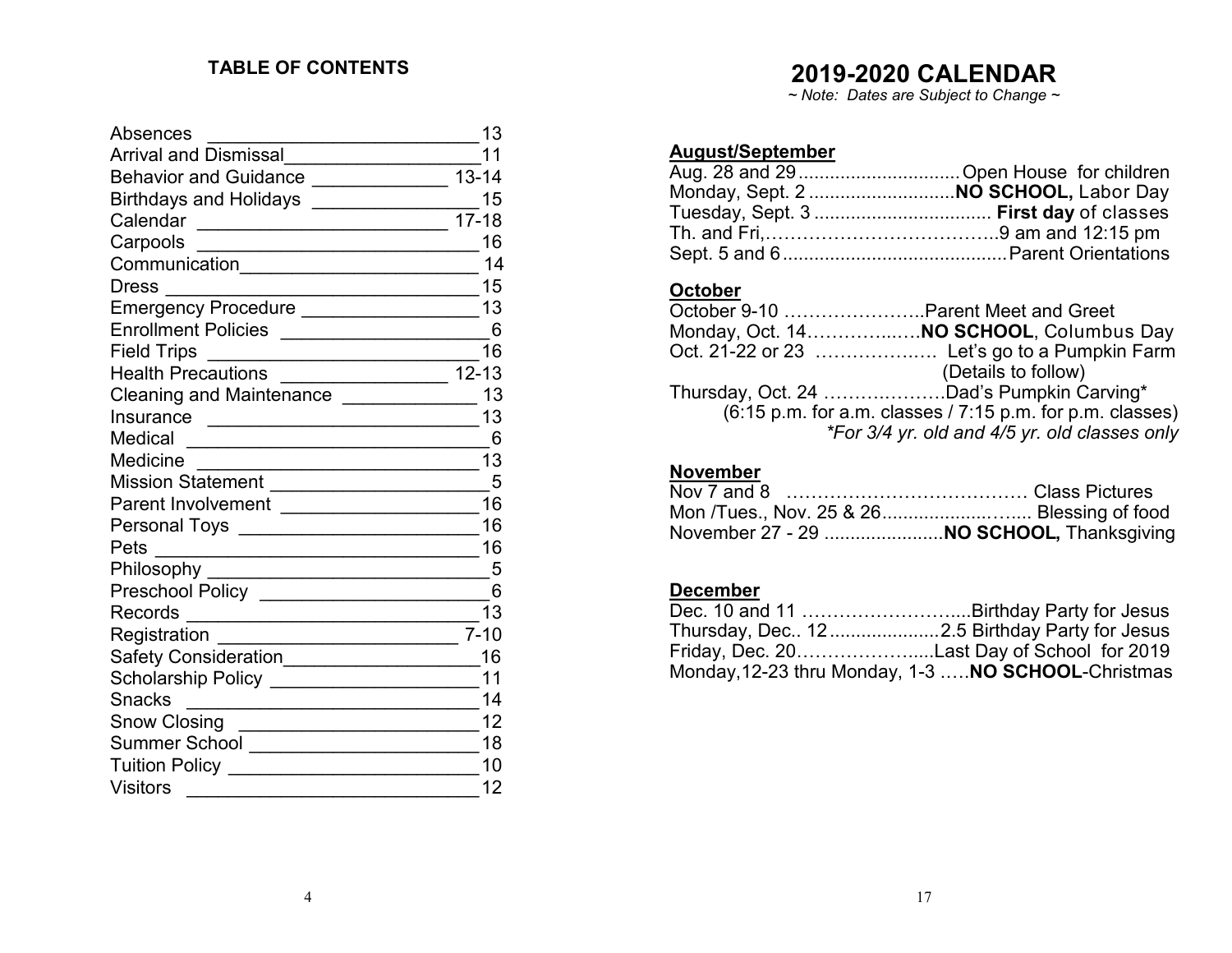### **TABLE OF CONTENTS**

| <b>Absences</b>                                                                                                                    | 13        |
|------------------------------------------------------------------------------------------------------------------------------------|-----------|
| Arrival and Dismissal                                                                                                              | 11        |
| Behavior and Guidance ______________                                                                                               | $13 - 14$ |
| Birthdays and Holidays _______________                                                                                             | 15        |
| Calendar<br><u> La componenta de la componenta de la componenta de la componenta de la componenta de la componenta de la compo</u> | $17 - 18$ |
| Carpools                                                                                                                           | 16        |
| Communication_________________________                                                                                             | 14        |
| <b>Dress</b>                                                                                                                       | 15        |
| Emergency Procedure ____________________                                                                                           | 13        |
| Enrollment Policies ______________________                                                                                         | - 6       |
| <b>Field Trips</b>                                                                                                                 | 16        |
| Health Precautions __________________ 12-13                                                                                        |           |
| Cleaning and Maintenance ______________                                                                                            | 13        |
| Insurance                                                                                                                          | 13        |
| Medical<br><u> 1990 - Johann John Stoff, deutscher Stoffen und der Stoffen und der Stoffen und der Stoffen und der Stoffen un</u>  | -6        |
| Medicine                                                                                                                           | 13        |
| Mission Statement _____________________                                                                                            | -5        |
| Parent Involvement ____________________                                                                                            | 16        |
|                                                                                                                                    | 16        |
| Pets                                                                                                                               | 16        |
| Philosophy ___                                                                                                                     | $-5$      |
|                                                                                                                                    | 6         |
| Records                                                                                                                            | 13        |
| Registration                                                                                                                       | $7 - 10$  |
| Safety Consideration___________________                                                                                            | 16        |
| Scholarship Policy ____________________                                                                                            | 11        |
| <b>Snacks</b>                                                                                                                      | 14        |
| <b>Snow Closing</b>                                                                                                                | 12        |
| Summer School _____________________                                                                                                | 18        |
| <b>Tuition Policy</b>                                                                                                              | 10        |
| <b>Visitors</b>                                                                                                                    | 12        |

## **2019-2020 CALENDAR**

*~ Note: Dates are Subject to Change ~*

### **August/September**

### **October**

|                                                                                                              | October 9-10 Parent Meet and Greet            |  |
|--------------------------------------------------------------------------------------------------------------|-----------------------------------------------|--|
|                                                                                                              | Monday, Oct. 14 NO SCHOOL, Columbus Day       |  |
|                                                                                                              |                                               |  |
|                                                                                                              | (Details to follow)                           |  |
|                                                                                                              | Thursday, Oct. 24 Dad's Pumpkin Carving*      |  |
| $(6:15 \text{ p.m.} \text{ for a.m.} \text{ classes } / 7:15 \text{ p.m.} \text{ for p.m.} \text{ classes})$ |                                               |  |
|                                                                                                              | *For 3/4 yr. old and 4/5 yr. old classes only |  |

### **November**

| Mon /Tues., Nov. 25 & 26 Blessing of food |  |
|-------------------------------------------|--|
| November 27 - 29  NO SCHOOL, Thanksgiving |  |

### **December**

| Thursday, Dec 122.5 Birthday Party for Jesus               |
|------------------------------------------------------------|
| Friday, Dec. 20Last Day of School for 2019                 |
| Monday, 12-23 thru Monday, 1-3 <b>NO SCHOOL</b> -Christmas |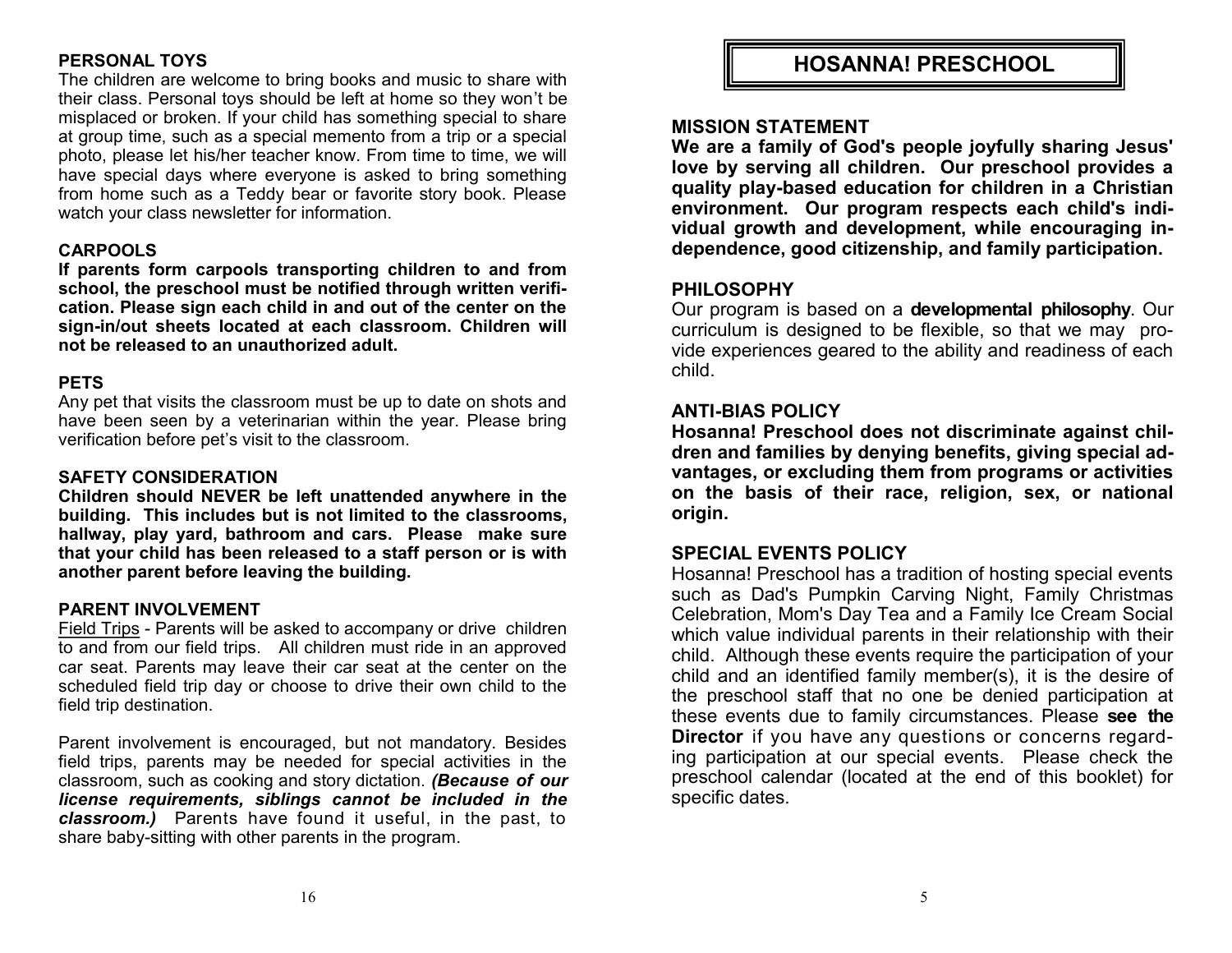### **PERSONAL TOYS**

The children are welcome to bring books and music to share with their class. Personal toys should be left at home so they won't be misplaced or broken. If your child has something special to share at group time, such as a special memento from a trip or a special photo, please let his/her teacher know. From time to time, we will have special days where everyone is asked to bring something from home such as a Teddy bear or favorite story book. Please watch your class newsletter for information.

### **CARPOOLS**

**If parents form carpools transporting children to and from school, the preschool must be notified through written verification. Please sign each child in and out of the center on the sign-in/out sheets located at each classroom. Children will not be released to an unauthorized adult.**

#### **PETS**

Any pet that visits the classroom must be up to date on shots and have been seen by a veterinarian within the year. Please bring verification before pet's visit to the classroom.

#### **SAFETY CONSIDERATION**

**Children should NEVER be left unattended anywhere in the building. This includes but is not limited to the classrooms, hallway, play yard, bathroom and cars. Please make sure that your child has been released to a staff person or is with another parent before leaving the building.**

#### **PARENT INVOLVEMENT**

Field Trips - Parents will be asked to accompany or drive children to and from our field trips. All children must ride in an approved car seat. Parents may leave their car seat at the center on the scheduled field trip day or choose to drive their own child to the field trip destination.

Parent involvement is encouraged, but not mandatory. Besides field trips, parents may be needed for special activities in the classroom, such as cooking and story dictation. *(Because of our license requirements, siblings cannot be included in the classroom.)* Parents have found it useful, in the past, to share baby-sitting with other parents in the program.

**HOSANNA! PRESCHOOL**

### **MISSION STATEMENT**

**We are a family of God's people joyfully sharing Jesus' love by serving all children. Our preschool provides a quality play-based education for children in a Christian environment. Our program respects each child's individual growth and development, while encouraging independence, good citizenship, and family participation.**

#### **PHILOSOPHY**

Our program is based on a **developmental philosophy**. Our curriculum is designed to be flexible, so that we may provide experiences geared to the ability and readiness of each child.

### **ANTI-BIAS POLICY**

**Hosanna! Preschool does not discriminate against children and families by denying benefits, giving special advantages, or excluding them from programs or activities on the basis of their race, religion, sex, or national origin.**

### **SPECIAL EVENTS POLICY**

Hosanna! Preschool has a tradition of hosting special events such as Dad's Pumpkin Carving Night, Family Christmas Celebration, Mom's Day Tea and a Family Ice Cream Social which value individual parents in their relationship with their child. Although these events require the participation of your child and an identified family member(s), it is the desire of the preschool staff that no one be denied participation at these events due to family circumstances. Please **see the Director** if you have any questions or concerns regarding participation at our special events. Please check the preschool calendar (located at the end of this booklet) for specific dates.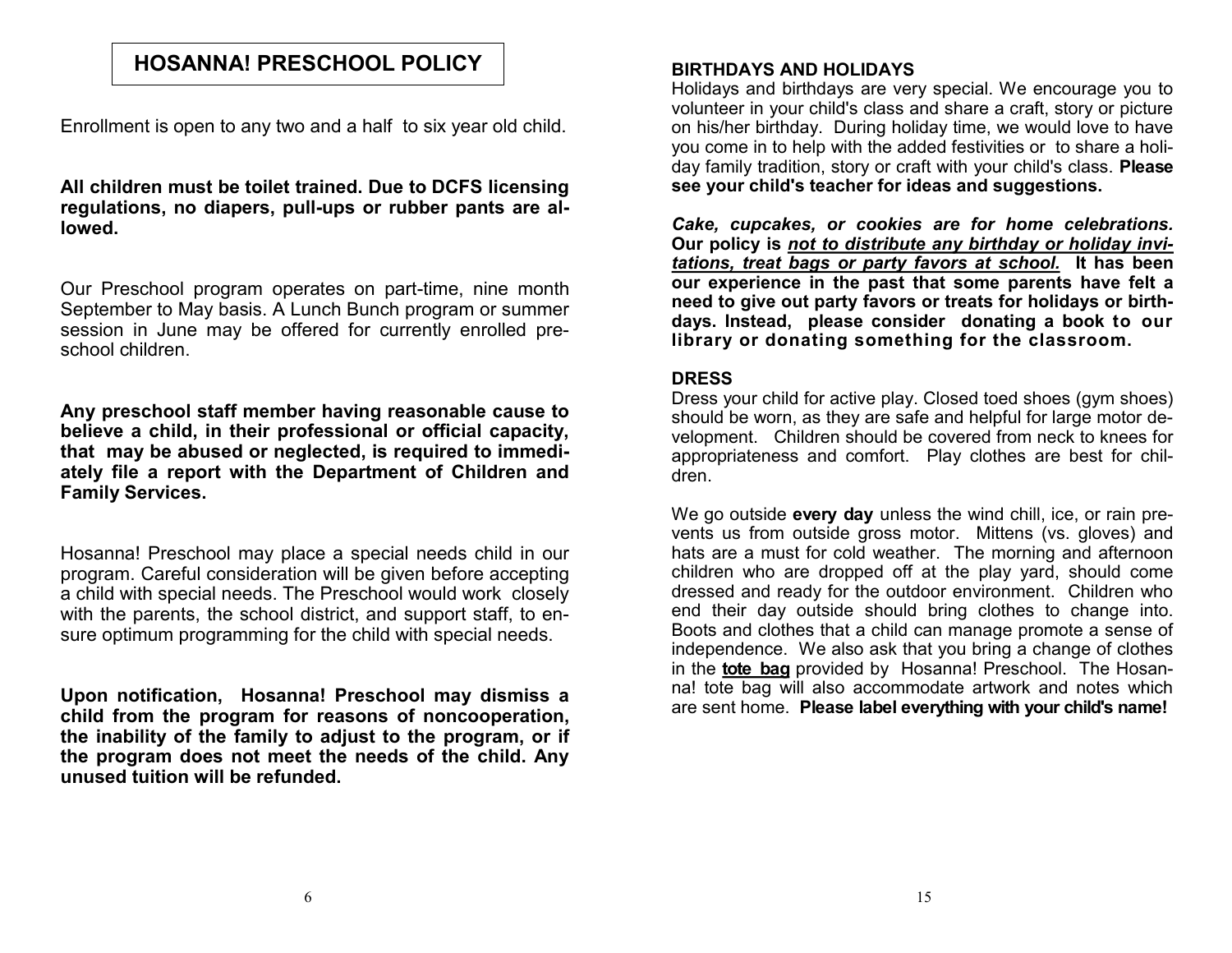### **HOSANNA! PRESCHOOL POLICY**

Enrollment is open to any two and a half to six year old child.

### **All children must be toilet trained. Due to DCFS licensing regulations, no diapers, pull-ups or rubber pants are allowed.**

Our Preschool program operates on part-time, nine month September to May basis. A Lunch Bunch program or summer session in June may be offered for currently enrolled preschool children.

**Any preschool staff member having reasonable cause to believe a child, in their professional or official capacity, that may be abused or neglected, is required to immediately file a report with the Department of Children and Family Services.**

Hosanna! Preschool may place a special needs child in our program. Careful consideration will be given before accepting a child with special needs. The Preschool would work closely with the parents, the school district, and support staff, to ensure optimum programming for the child with special needs.

**Upon notification, Hosanna! Preschool may dismiss a child from the program for reasons of noncooperation, the inability of the family to adjust to the program, or if the program does not meet the needs of the child. Any unused tuition will be refunded.**

### **BIRTHDAYS AND HOLIDAYS**

Holidays and birthdays are very special. We encourage you to volunteer in your child's class and share a craft, story or picture on his/her birthday. During holiday time, we would love to have you come in to help with the added festivities or to share a holiday family tradition, story or craft with your child's class. **Please see your child's teacher for ideas and suggestions.**

*Cake, cupcakes, or cookies are for home celebrations.*  **Our policy is** *not to distribute any birthday or holiday invitations, treat bags or party favors at school.* **It has been our experience in the past that some parents have felt a need to give out party favors or treats for holidays or birthdays. Instead, please consider donating a book to our library or donating something for the classroom.**

#### **DRESS**

Dress your child for active play. Closed toed shoes (gym shoes) should be worn, as they are safe and helpful for large motor development. Children should be covered from neck to knees for appropriateness and comfort. Play clothes are best for children.

We go outside **every day** unless the wind chill, ice, or rain prevents us from outside gross motor. Mittens (vs. gloves) and hats are a must for cold weather. The morning and afternoon children who are dropped off at the play yard, should come dressed and ready for the outdoor environment. Children who end their day outside should bring clothes to change into. Boots and clothes that a child can manage promote a sense of independence. We also ask that you bring a change of clothes in the **tote bag** provided by Hosanna! Preschool. The Hosanna! tote bag will also accommodate artwork and notes which are sent home. **Please label everything with your child's name!**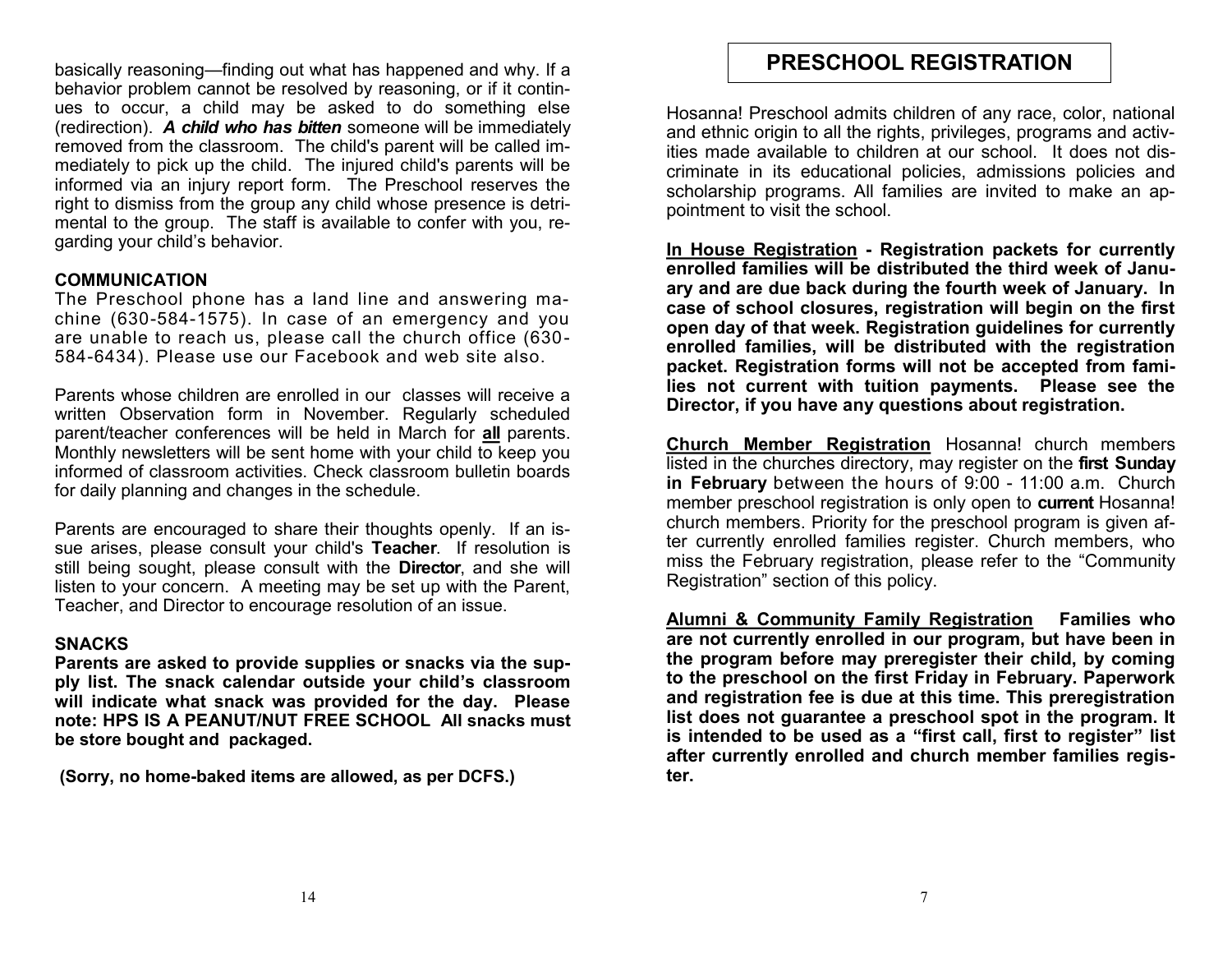basically reasoning—finding out what has happened and why. If a behavior problem cannot be resolved by reasoning, or if it continues to occur, a child may be asked to do something else (redirection). *A child who has bitten* someone will be immediately removed from the classroom. The child's parent will be called immediately to pick up the child. The injured child's parents will be informed via an injury report form. The Preschool reserves the right to dismiss from the group any child whose presence is detrimental to the group. The staff is available to confer with you, regarding your child's behavior.

### **COMMUNICATION**

The Preschool phone has a land line and answering machine (630-584-1575). In case of an emergency and you are unable to reach us, please call the church office (630- 584-6434). Please use our Facebook and web site also.

Parents whose children are enrolled in our classes will receive a written Observation form in November. Regularly scheduled parent/teacher conferences will be held in March for **all** parents. Monthly newsletters will be sent home with your child to keep you informed of classroom activities. Check classroom bulletin boards for daily planning and changes in the schedule.

Parents are encouraged to share their thoughts openly. If an issue arises, please consult your child's **Teacher**. If resolution is still being sought, please consult with the **Director**, and she will listen to your concern. A meeting may be set up with the Parent, Teacher, and Director to encourage resolution of an issue.

#### **SNACKS**

**Parents are asked to provide supplies or snacks via the supply list. The snack calendar outside your child's classroom will indicate what snack was provided for the day. Please note: HPS IS A PEANUT/NUT FREE SCHOOL All snacks must be store bought and packaged.** 

**(Sorry, no home-baked items are allowed, as per DCFS.)**

### **PRESCHOOL REGISTRATION**

Hosanna! Preschool admits children of any race, color, national and ethnic origin to all the rights, privileges, programs and activities made available to children at our school. It does not discriminate in its educational policies, admissions policies and scholarship programs. All families are invited to make an appointment to visit the school.

**In House Registration - Registration packets for currently enrolled families will be distributed the third week of January and are due back during the fourth week of January. In case of school closures, registration will begin on the first open day of that week. Registration guidelines for currently enrolled families, will be distributed with the registration packet. Registration forms will not be accepted from families not current with tuition payments. Please see the Director, if you have any questions about registration.** 

**Church Member Registration** Hosanna! church members listed in the churches directory, may register on the **first Sunday in February** between the hours of 9:00 - 11:00 a.m. Church member preschool registration is only open to **current** Hosanna! church members. Priority for the preschool program is given after currently enrolled families register. Church members, who miss the February registration, please refer to the "Community Registration" section of this policy.

**Alumni & Community Family Registration Families who are not currently enrolled in our program, but have been in the program before may preregister their child, by coming to the preschool on the first Friday in February. Paperwork and registration fee is due at this time. This preregistration list does not guarantee a preschool spot in the program. It is intended to be used as a "first call, first to register" list after currently enrolled and church member families register.**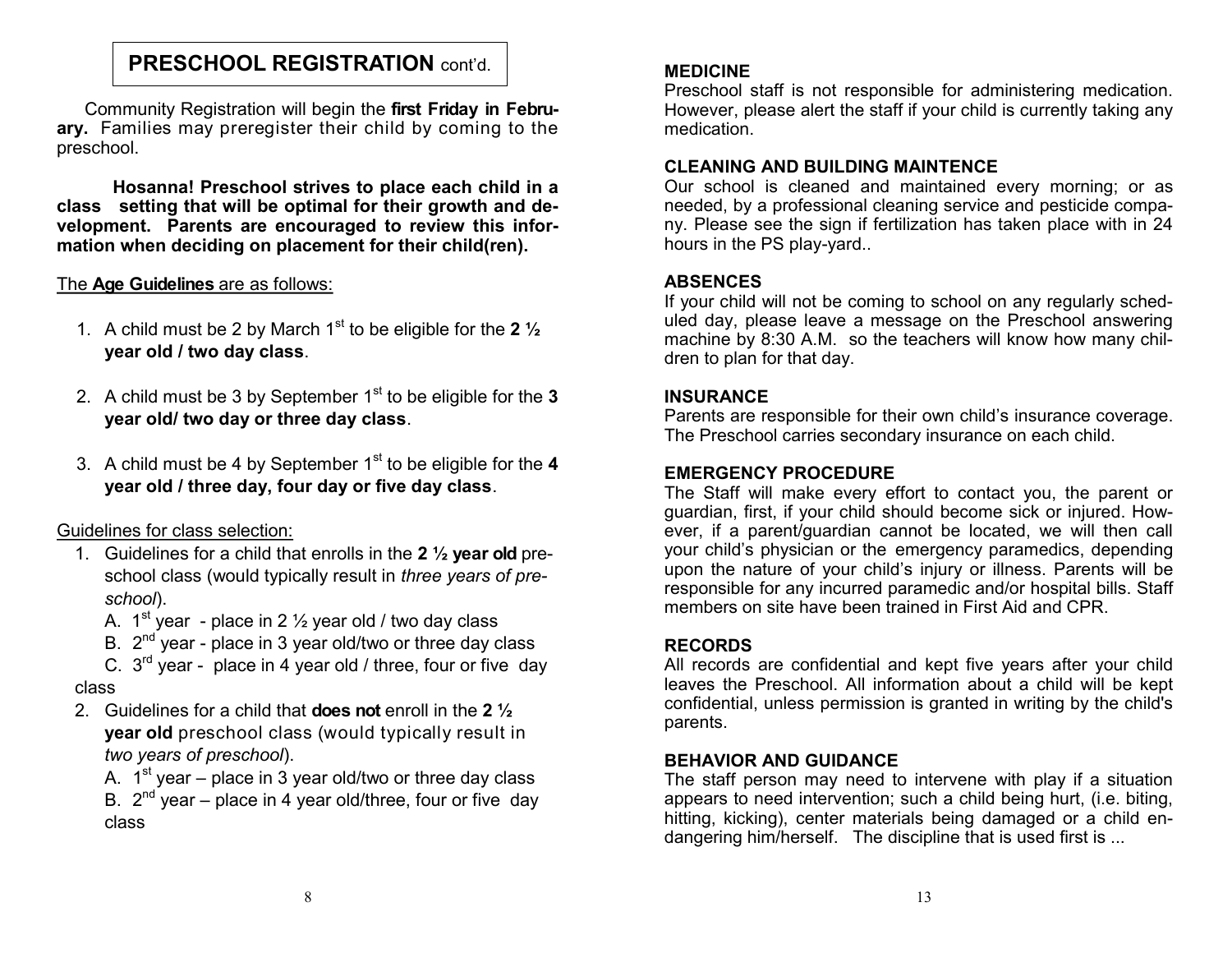### **PRESCHOOL REGISTRATION** cont'd.

Community Registration will begin the **first Friday in February.** Families may preregister their child by coming to the preschool.

**Hosanna! Preschool strives to place each child in a class setting that will be optimal for their growth and development. Parents are encouraged to review this information when deciding on placement for their child(ren).**

### The **Age Guidelines** are as follows:

- 1. A child must be 2 by March 1<sup>st</sup> to be eligible for the 2  $\frac{1}{2}$ **year old / two day class**.
- 2. A child must be 3 by September 1<sup>st</sup> to be eligible for the 3 **year old/ two day or three day class**.
- 3. A child must be 4 by September 1<sup>st</sup> to be eligible for the 4 **year old / three day, four day or five day class**.

### Guidelines for class selection:

- 1. Guidelines for a child that enrolls in the **2 ½ year old** preschool class (would typically result in *three years of preschool*).
	- A.  $1^{st}$  year place in 2  $\frac{1}{2}$  year old / two day class
	- B.  $2^{nd}$  year place in 3 year old/two or three day class
- C.  $3^{rd}$  year place in 4 year old / three, four or five day class
- 2. Guidelines for a child that **does not** enroll in the **2 ½ year old** preschool class (would typically result in *two years of preschool*).

A. 1<sup>st</sup> year – place in 3 year old/two or three day class B.  $2^{nd}$  year – place in 4 year old/three, four or five day class

### **MEDICINE**

Preschool staff is not responsible for administering medication. However, please alert the staff if your child is currently taking any medication.

### **CLEANING AND BUILDING MAINTENCE**

Our school is cleaned and maintained every morning; or as needed, by a professional cleaning service and pesticide company. Please see the sign if fertilization has taken place with in 24 hours in the PS play-yard..

### **ABSENCES**

If your child will not be coming to school on any regularly scheduled day, please leave a message on the Preschool answering machine by 8:30 A.M. so the teachers will know how many children to plan for that day.

### **INSURANCE**

Parents are responsible for their own child's insurance coverage. The Preschool carries secondary insurance on each child.

### **EMERGENCY PROCEDURE**

The Staff will make every effort to contact you, the parent or guardian, first, if your child should become sick or injured. However, if a parent/guardian cannot be located, we will then call your child's physician or the emergency paramedics, depending upon the nature of your child's injury or illness. Parents will be responsible for any incurred paramedic and/or hospital bills. Staff members on site have been trained in First Aid and CPR.

### **RECORDS**

All records are confidential and kept five years after your child leaves the Preschool. All information about a child will be kept confidential, unless permission is granted in writing by the child's parents.

### **BEHAVIOR AND GUIDANCE**

The staff person may need to intervene with play if a situation appears to need intervention; such a child being hurt, (i.e. biting, hitting, kicking), center materials being damaged or a child endangering him/herself. The discipline that is used first is ...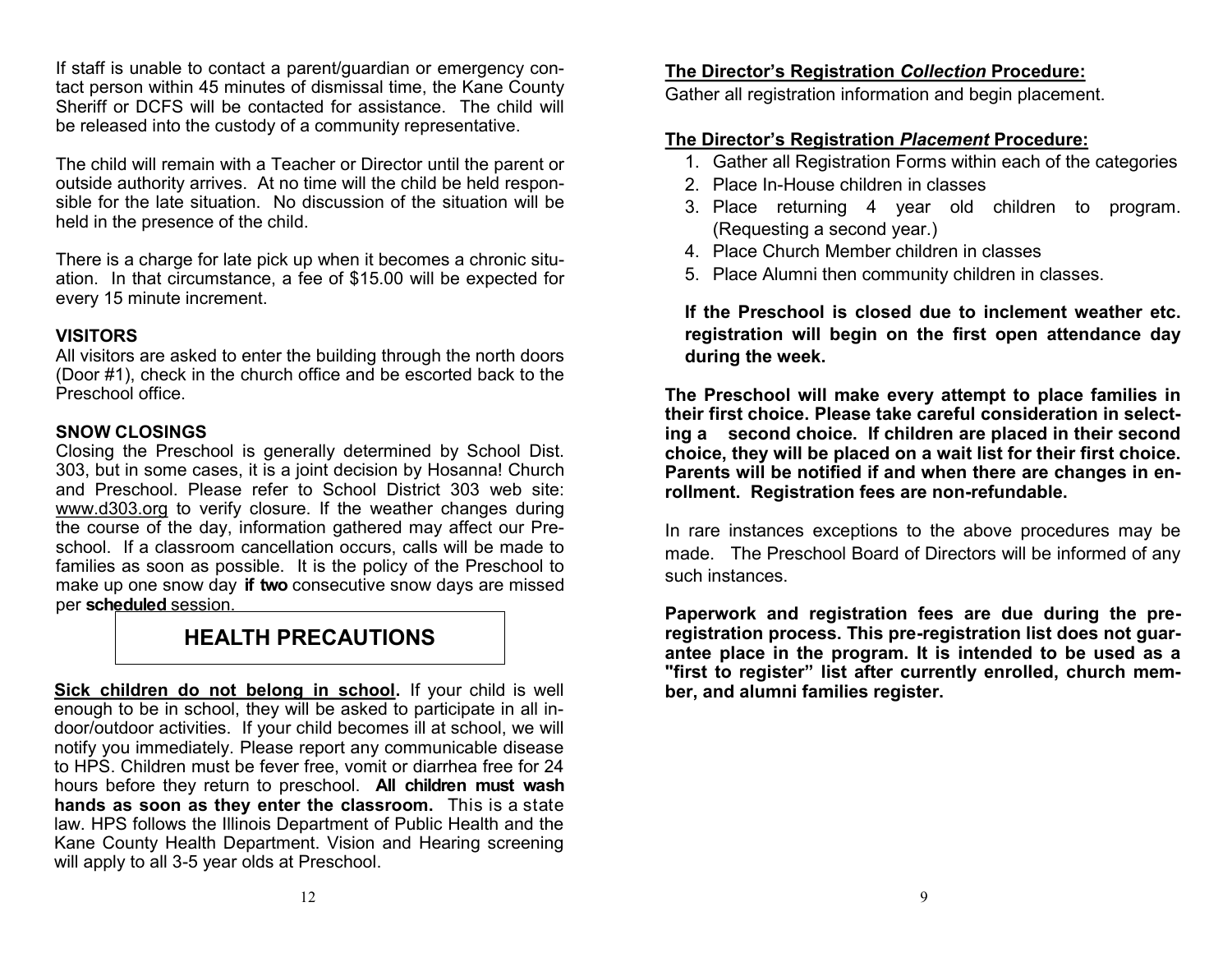If staff is unable to contact a parent/guardian or emergency contact person within 45 minutes of dismissal time, the Kane County Sheriff or DCFS will be contacted for assistance. The child will be released into the custody of a community representative.

The child will remain with a Teacher or Director until the parent or outside authority arrives. At no time will the child be held responsible for the late situation. No discussion of the situation will be held in the presence of the child.

There is a charge for late pick up when it becomes a chronic situation. In that circumstance, a fee of \$15.00 will be expected for every 15 minute increment.

### **VISITORS**

All visitors are asked to enter the building through the north doors (Door #1), check in the church office and be escorted back to the Preschool office.

### **SNOW CLOSINGS**

Closing the Preschool is generally determined by School Dist. 303, but in some cases, it is a joint decision by Hosanna! Church and Preschool. Please refer to School District 303 web site: www.d303.org to verify closure. If the weather changes during the course of the day, information gathered may affect our Preschool. If a classroom cancellation occurs, calls will be made to families as soon as possible. It is the policy of the Preschool to make up one snow day **if two** consecutive snow days are missed per **scheduled** session.

### **HEALTH PRECAUTIONS**

**Sick children do not belong in school.** If your child is well enough to be in school, they will be asked to participate in all indoor/outdoor activities. If your child becomes ill at school, we will notify you immediately. Please report any communicable disease to HPS. Children must be fever free, vomit or diarrhea free for 24 hours before they return to preschool. **All children must wash hands as soon as they enter the classroom.** This is a state law. HPS follows the Illinois Department of Public Health and the Kane County Health Department. Vision and Hearing screening will apply to all 3-5 year olds at Preschool.

### **The Director's Registration** *Collection* **Procedure:**

Gather all registration information and begin placement.

### **The Director's Registration** *Placement* **Procedure:**

- 1. Gather all Registration Forms within each of the categories
- 2. Place In-House children in classes
- 3. Place returning 4 year old children to program. (Requesting a second year.)
- 4. Place Church Member children in classes
- 5. Place Alumni then community children in classes.

**If the Preschool is closed due to inclement weather etc. registration will begin on the first open attendance day during the week.**

**The Preschool will make every attempt to place families in their first choice. Please take careful consideration in selecting a second choice. If children are placed in their second choice, they will be placed on a wait list for their first choice. Parents will be notified if and when there are changes in enrollment. Registration fees are non-refundable.**

In rare instances exceptions to the above procedures may be made. The Preschool Board of Directors will be informed of any such instances.

**Paperwork and registration fees are due during the preregistration process. This pre-registration list does not guarantee place in the program. It is intended to be used as a "first to register" list after currently enrolled, church member, and alumni families register.**